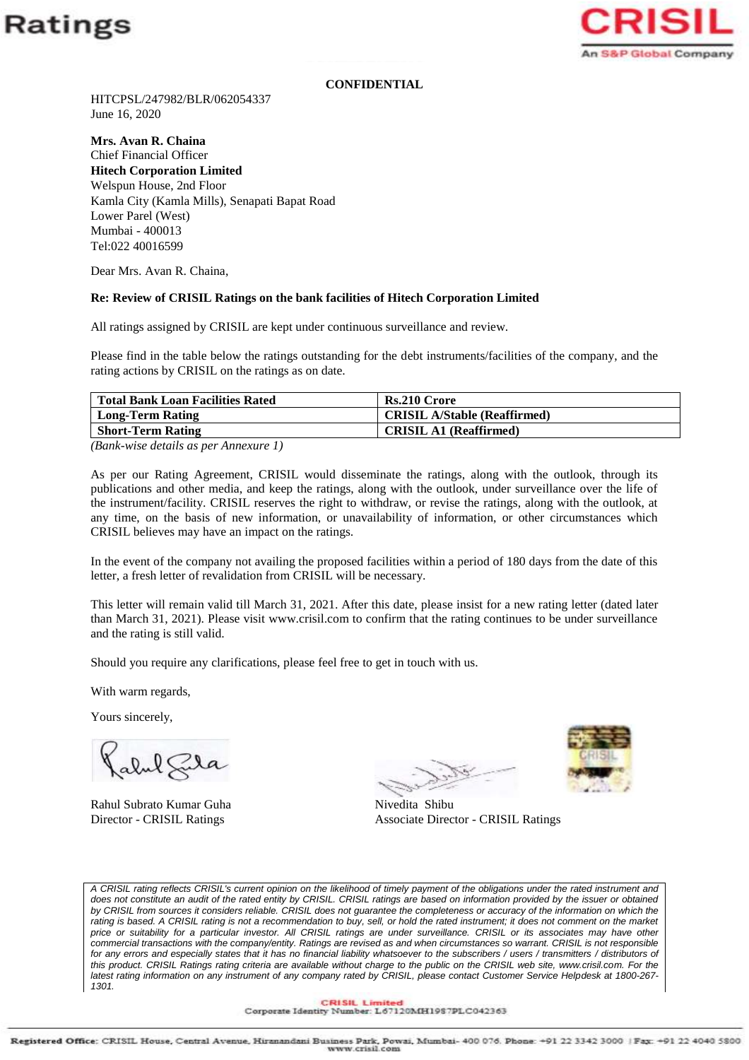



## **CONFIDENTIAL**

HITCPSL/247982/BLR/062054337 June 16, 2020

**Mrs. Avan R. Chaina**

Chief Financial Officer **Hitech Corporation Limited** Welspun House, 2nd Floor Kamla City (Kamla Mills), Senapati Bapat Road Lower Parel (West) Mumbai - 400013 Tel:022 40016599

Dear Mrs. Avan R. Chaina,

## **Re: Review of CRISIL Ratings on the bank facilities of Hitech Corporation Limited**

All ratings assigned by CRISIL are kept under continuous surveillance and review.

Please find in the table below the ratings outstanding for the debt instruments/facilities of the company, and the rating actions by CRISIL on the ratings as on date.

| <b>Total Bank Loan Facilities Rated</b>                                                                                                                                                                                                                                                                            | <b>Rs.210 Crore</b>                 |
|--------------------------------------------------------------------------------------------------------------------------------------------------------------------------------------------------------------------------------------------------------------------------------------------------------------------|-------------------------------------|
| <b>Long-Term Rating</b>                                                                                                                                                                                                                                                                                            | <b>CRISIL A/Stable (Reaffirmed)</b> |
| <b>Short-Term Rating</b>                                                                                                                                                                                                                                                                                           | <b>CRISIL A1 (Reaffirmed)</b>       |
| $\sqrt{2}$ $\sqrt{2}$ $\sqrt{2}$ $\sqrt{2}$ $\sqrt{2}$ $\sqrt{2}$ $\sqrt{2}$ $\sqrt{2}$ $\sqrt{2}$ $\sqrt{2}$ $\sqrt{2}$ $\sqrt{2}$ $\sqrt{2}$ $\sqrt{2}$ $\sqrt{2}$ $\sqrt{2}$ $\sqrt{2}$ $\sqrt{2}$ $\sqrt{2}$ $\sqrt{2}$ $\sqrt{2}$ $\sqrt{2}$ $\sqrt{2}$ $\sqrt{2}$ $\sqrt{2}$ $\sqrt{2}$ $\sqrt{2}$ $\sqrt{2$ |                                     |

*(Bank-wise details as per Annexure 1)*

As per our Rating Agreement, CRISIL would disseminate the ratings, along with the outlook, through its publications and other media, and keep the ratings, along with the outlook, under surveillance over the life of the instrument/facility. CRISIL reserves the right to withdraw, or revise the ratings, along with the outlook, at any time, on the basis of new information, or unavailability of information, or other circumstances which CRISIL believes may have an impact on the ratings.

In the event of the company not availing the proposed facilities within a period of 180 days from the date of this letter, a fresh letter of revalidation from CRISIL will be necessary.

This letter will remain valid till March 31, 2021. After this date, please insist for a new rating letter (dated later than March 31, 2021). Please visit www.crisil.com to confirm that the rating continues to be under surveillance and the rating is still valid.

Should you require any clarifications, please feel free to get in touch with us.

With warm regards,

Yours sincerely,

abul Fila

Rahul Subrato Kumar Guha Nivedita Shibu



Director - CRISIL Ratings Associate Director - CRISIL Ratings

*A CRISIL rating reflects CRISIL's current opinion on the likelihood of timely payment of the obligations under the rated instrument and does not constitute an audit of the rated entity by CRISIL. CRISIL ratings are based on information provided by the issuer or obtained*  by CRISIL from sources it considers reliable. CRISIL does not guarantee the completeness or accuracy of the information on which the rating is based. A CRISIL rating is not a recommendation to buy, sell, or hold the rated instrument; it does not comment on the market *price or suitability for a particular investor. All CRISIL ratings are under surveillance. CRISIL or its associates may have other commercial transactions with the company/entity. Ratings are revised as and when circumstances so warrant. CRISIL is not responsible*  for any errors and especially states that it has no financial liability whatsoever to the subscribers / users / transmitters / distributors of this product. CRISIL Ratings rating criteria are available without charge to the public on the CRISIL web site, www.crisil.com. For the *latest rating information on any instrument of any company rated by CRISIL, please contact Customer Service Helpdesk at 1800-267- 1301.*

CRISIL Limited<br>Corporate Identity Number: L67120MH1987PLC042363